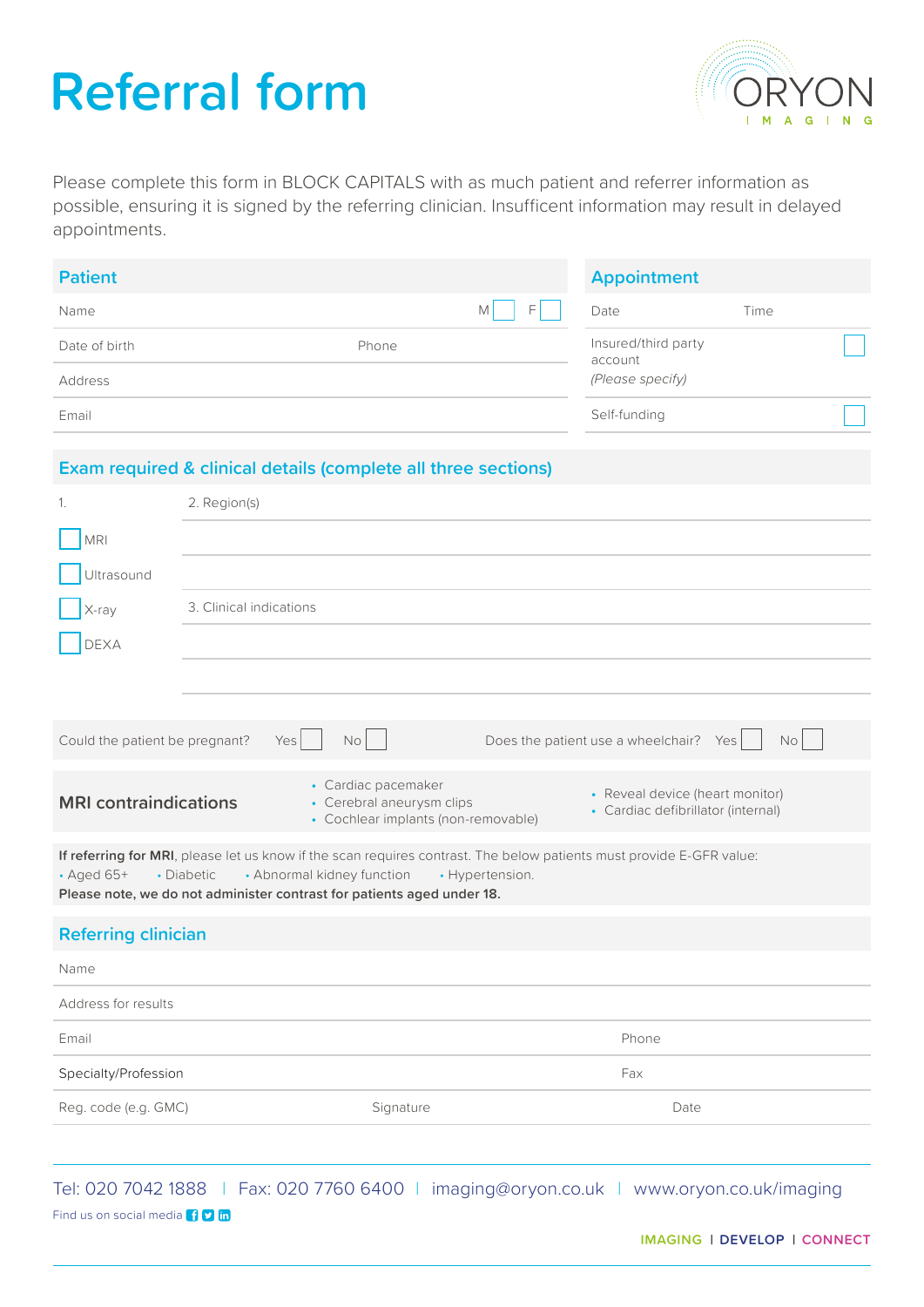# **Referral form**



Please complete this form in BLOCK CAPITALS with as much patient and referrer information as possible, ensuring it is signed by the referring clinician. Insufficent information may result in delayed appointments.

| <b>Patient</b> |       |        | <b>Appointment</b>             |      |  |
|----------------|-------|--------|--------------------------------|------|--|
| Name           |       | F<br>M | Date                           | Time |  |
| Date of birth  | Phone |        | Insured/third party<br>account |      |  |
| Address        |       |        | (Please specify)               |      |  |
| Email          |       |        | Self-funding                   |      |  |

### **Exam required & clinical details (complete all three sections)**

| 1.                                                                                                                                                                                                                                                                                | 2. Region(s)            |                                                                                         |                                        |                                                                       |  |
|-----------------------------------------------------------------------------------------------------------------------------------------------------------------------------------------------------------------------------------------------------------------------------------|-------------------------|-----------------------------------------------------------------------------------------|----------------------------------------|-----------------------------------------------------------------------|--|
| <b>MRI</b>                                                                                                                                                                                                                                                                        |                         |                                                                                         |                                        |                                                                       |  |
| Ultrasound                                                                                                                                                                                                                                                                        |                         |                                                                                         |                                        |                                                                       |  |
| X-ray                                                                                                                                                                                                                                                                             | 3. Clinical indications |                                                                                         |                                        |                                                                       |  |
| <b>DEXA</b>                                                                                                                                                                                                                                                                       |                         |                                                                                         |                                        |                                                                       |  |
|                                                                                                                                                                                                                                                                                   |                         |                                                                                         |                                        |                                                                       |  |
|                                                                                                                                                                                                                                                                                   |                         |                                                                                         |                                        |                                                                       |  |
| Could the patient be pregnant?                                                                                                                                                                                                                                                    | Yes                     | No                                                                                      | Does the patient use a wheelchair? Yes | <b>No</b>                                                             |  |
| <b>MRI</b> contraindications                                                                                                                                                                                                                                                      |                         | • Cardiac pacemaker<br>• Cerebral aneurysm clips<br>• Cochlear implants (non-removable) |                                        | • Reveal device (heart monitor)<br>• Cardiac defibrillator (internal) |  |
| If referring for MRI, please let us know if the scan requires contrast. The below patients must provide E-GFR value:<br>$\cdot$ Aged 65+<br>• Abnormal kidney function<br>• Diabetic<br>• Hypertension.<br>Please note, we do not administer contrast for patients aged under 18. |                         |                                                                                         |                                        |                                                                       |  |
| <b>Referring clinician</b>                                                                                                                                                                                                                                                        |                         |                                                                                         |                                        |                                                                       |  |
| Name                                                                                                                                                                                                                                                                              |                         |                                                                                         |                                        |                                                                       |  |
| Address for results                                                                                                                                                                                                                                                               |                         |                                                                                         |                                        |                                                                       |  |
| Email                                                                                                                                                                                                                                                                             |                         |                                                                                         |                                        | Phone                                                                 |  |
| Specialty/Profession                                                                                                                                                                                                                                                              |                         |                                                                                         |                                        | Fax                                                                   |  |
| Reg. code (e.g. GMC)                                                                                                                                                                                                                                                              |                         | Signature                                                                               |                                        | Date                                                                  |  |
|                                                                                                                                                                                                                                                                                   |                         |                                                                                         |                                        |                                                                       |  |

Tel: 020 7042 1888 | Fax: 020 7760 6400 | imaging@oryon.co.uk | www.oryon.co.uk/imaging Find us on social media **10 m**